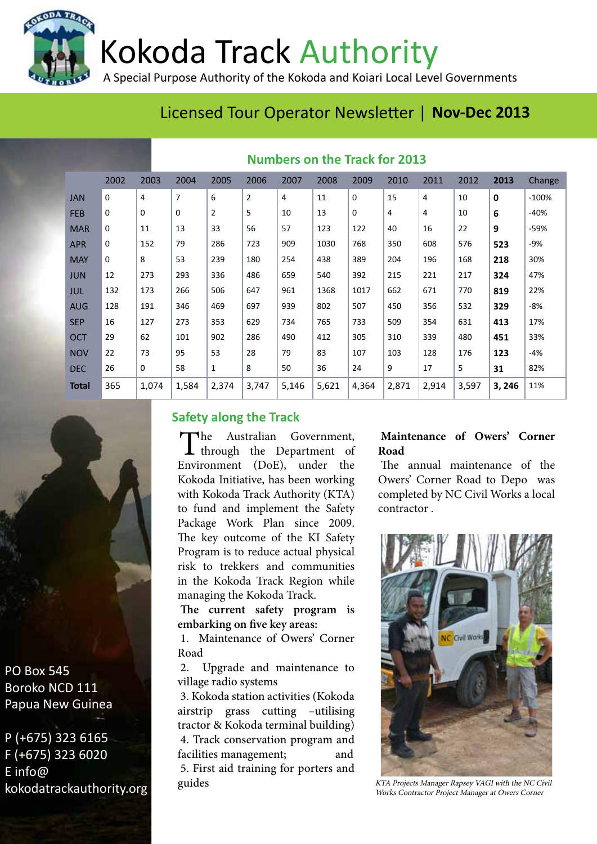Kokoda Track Authority

A Special Purpose Authority of the Kokoda and Koiari Local Level Governments

# Licensed Tour Operator Newsletter | **Nov-Dec 2013**

|              | <b>IVAILIDELS UIL LITE TIGUN TUL EUIS</b> |             |                |       |       |       |       |          |       |       |       |              |         |
|--------------|-------------------------------------------|-------------|----------------|-------|-------|-------|-------|----------|-------|-------|-------|--------------|---------|
|              | 2002                                      | 2003        | 2004           | 2005  | 2006  | 2007  | 2008  | 2009     | 2010  | 2011  | 2012  | 2013         | Change  |
| <b>JAN</b>   | 0                                         | 4           | $\overline{7}$ | 6     | 2     | 4     | 11    | $\Omega$ | 15    | 4     | 10    | $\mathbf{0}$ | $-100%$ |
| <b>FEB</b>   | 0                                         | $\mathbf 0$ | $\mathbf 0$    | 2     | 5     | 10    | 13    | 0        | 4     | 4     | 10    | 6            | $-40%$  |
| <b>MAR</b>   | 0                                         | 11          | 13             | 33    | 56    | 57    | 123   | 122      | 40    | 16    | 22    | 9            | -59%    |
| <b>APR</b>   | 0                                         | 152         | 79             | 286   | 723   | 909   | 1030  | 768      | 350   | 608   | 576   | 523          | -9%     |
| <b>MAY</b>   | 0                                         | 8           | 53             | 239   | 180   | 254   | 438   | 389      | 204   | 196   | 168   | 218          | 30%     |
| <b>JUN</b>   | 12                                        | 273         | 293            | 336   | 486   | 659   | 540   | 392      | 215   | 221   | 217   | 324          | 47%     |
| JUL          | 132                                       | 173         | 266            | 506   | 647   | 961   | 1368  | 1017     | 662   | 671   | 770   | 819          | 22%     |
| <b>AUG</b>   | 128                                       | 191         | 346            | 469   | 697   | 939   | 802   | 507      | 450   | 356   | 532   | 329          | $-8%$   |
| <b>SEP</b>   | 16                                        | 127         | 273            | 353   | 629   | 734   | 765   | 733      | 509   | 354   | 631   | 413          | 17%     |
| <b>OCT</b>   | 29                                        | 62          | 101            | 902   | 286   | 490   | 412   | 305      | 310   | 339   | 480   | 451          | 33%     |
| <b>NOV</b>   | 22                                        | 73          | 95             | 53    | 28    | 79    | 83    | 107      | 103   | 128   | 176   | 123          | $-4%$   |
| <b>DEC</b>   | 26                                        | $\mathbf 0$ | 58             | 1     | 8     | 50    | 36    | 24       | 9     | 17    | 5     | 31           | 82%     |
| <b>Total</b> | 365                                       | 1,074       | 1,584          | 2,374 | 3,747 | 5,146 | 5,621 | 4,364    | 2,871 | 2,914 | 3,597 | 3, 246       | 11%     |

## **Numbers on the Track for 2013**

## **Safety along the Track**

The Australian Government,<br>through the Department of Environment (DoE), under the Kokoda Initiative, has been working with Kokoda Track Authority (KTA) to fund and implement the Safety Package Work Plan since 2009. The key outcome of the KI Safety Program is to reduce actual physical risk to trekkers and communities in the Kokoda Track Region while managing the Kokoda Track.

**The current safety program is embarking on five key areas:** 

1. Maintenance of Owers' Corner Road

2. Upgrade and maintenance to village radio systems

3. Kokoda station activities (Kokoda airstrip grass cutting –utilising tractor & Kokoda terminal building) 4. Track conservation program and facilities management; and 5. First aid training for porters and guides

## **Maintenance of Owers' Corner Road**

The annual maintenance of the Owers' Corner Road to Depo was completed by NC Civil Works a local contractor .



KTA Projects Manager Rapsey VAGI with the NC Civil Works Contractor Project Manager at Owers Corner

PO Box 545 Boroko NCD 111 Papua New Guinea

P (+675) 323 6165 F (+675) 323 6020 E info@ kokodatrackauthority.org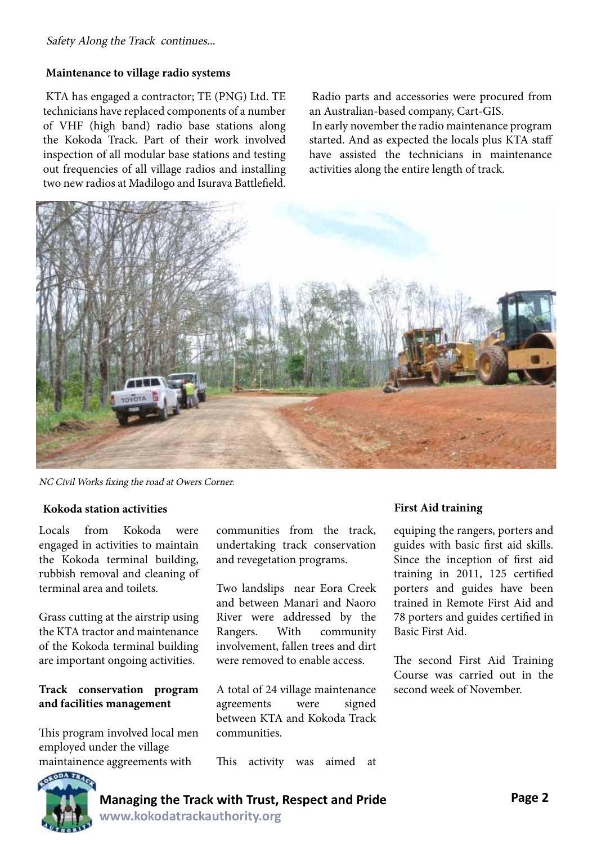## **Maintenance to village radio systems**

KTA has engaged a contractor; TE (PNG) Ltd. TE technicians have replaced components of a number of VHF (high band) radio base stations along the Kokoda Track. Part of their work involved inspection of all modular base stations and testing out frequencies of all village radios and installing two new radios at Madilogo and Isurava Battlefield.

Radio parts and accessories were procured from an Australian-based company, Cart-GIS.

In early november the radio maintenance program started. And as expected the locals plus KTA staff have assisted the technicians in maintenance activities along the entire length of track.



NC Civil Works fixing the road at Owers Corner.

### **Kokoda station activities First Aid training**

Locals from Kokoda were engaged in activities to maintain the Kokoda terminal building, rubbish removal and cleaning of terminal area and toilets.

Grass cutting at the airstrip using the KTA tractor and maintenance of the Kokoda terminal building are important ongoing activities.

## **Track conservation program and facilities management**

This program involved local men employed under the village maintainence aggreements with

communities from the track, undertaking track conservation and revegetation programs.

Two landslips near Eora Creek and between Manari and Naoro River were addressed by the Rangers. With community involvement, fallen trees and dirt were removed to enable access.

A total of 24 village maintenance agreements were signed between KTA and Kokoda Track communities.

This activity was aimed at

equiping the rangers, porters and guides with basic first aid skills. Since the inception of first aid training in 2011, 125 certified porters and guides have been trained in Remote First Aid and 78 porters and guides certified in Basic First Aid.

The second First Aid Training Course was carried out in the second week of November.

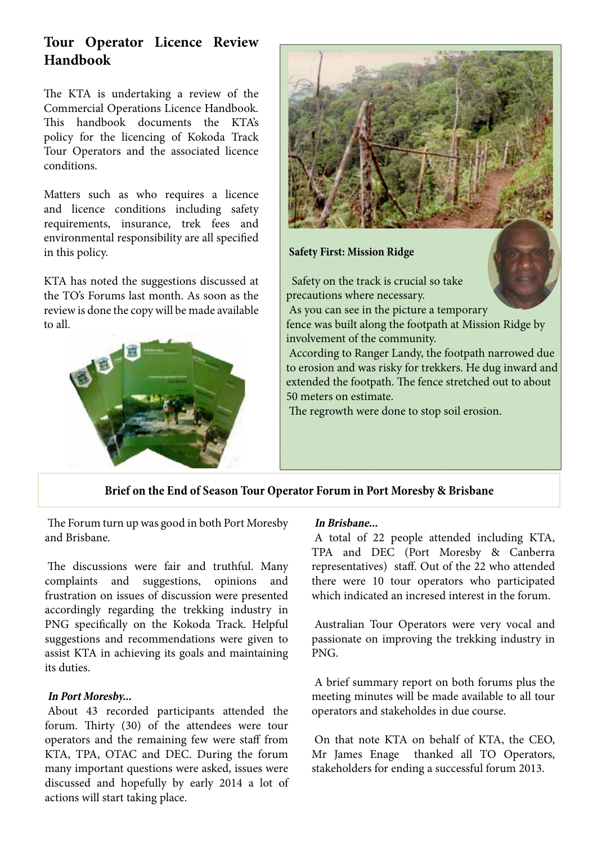## **Tour Operator Licence Review Handbook**

The KTA is undertaking a review of the Commercial Operations Licence Handbook. This handbook documents the KTA's policy for the licencing of Kokoda Track Tour Operators and the associated licence conditions.

Matters such as who requires a licence and licence conditions including safety requirements, insurance, trek fees and environmental responsibility are all specified in this policy.

KTA has noted the suggestions discussed at the TO's Forums last month. As soon as the review is done the copy will be made available to all.





**Safety First: Mission Ridge**

 Safety on the track is crucial so take precautions where necessary. As you can see in the picture a temporary fence was built along the footpath at Mission Ridge by involvement of the community. According to Ranger Landy, the footpath narrowed due to erosion and was risky for trekkers. He dug inward and extended the footpath. The fence stretched out to about 50 meters on estimate. The regrowth were done to stop soil erosion.

## **Brief on the End of Season Tour Operator Forum in Port Moresby & Brisbane**

The Forum turn up was good in both Port Moresby and Brisbane.

The discussions were fair and truthful. Many complaints and suggestions, opinions and frustration on issues of discussion were presented accordingly regarding the trekking industry in PNG specifically on the Kokoda Track. Helpful suggestions and recommendations were given to assist KTA in achieving its goals and maintaining its duties.

### **In Port Moresby...**

About 43 recorded participants attended the forum. Thirty (30) of the attendees were tour operators and the remaining few were staff from KTA, TPA, OTAC and DEC. During the forum many important questions were asked, issues were discussed and hopefully by early 2014 a lot of actions will start taking place.

### **In Brisbane...**

A total of 22 people attended including KTA, TPA and DEC (Port Moresby & Canberra representatives) staff. Out of the 22 who attended there were 10 tour operators who participated which indicated an incresed interest in the forum.

Australian Tour Operators were very vocal and passionate on improving the trekking industry in PNG.

A brief summary report on both forums plus the meeting minutes will be made available to all tour operators and stakeholdes in due course.

On that note KTA on behalf of KTA, the CEO, Mr James Enage thanked all TO Operators, stakeholders for ending a successful forum 2013.